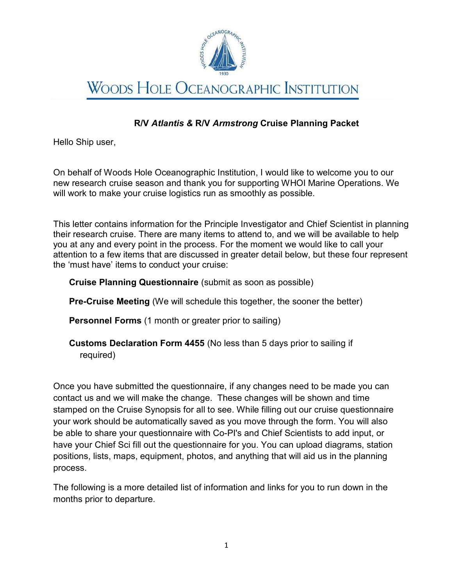

# **WOODS HOLE OCEANOGRAPHIC INSTITUTION**

# R/V Atlantis & R/V Armstrong Cruise Planning Packet

Hello Ship user,

On behalf of Woods Hole Oceanographic Institution, I would like to welcome you to our new research cruise season and thank you for supporting WHOI Marine Operations. We will work to make your cruise logistics run as smoothly as possible.

This letter contains information for the Principle Investigator and Chief Scientist in planning their research cruise. There are many items to attend to, and we will be available to help you at any and every point in the process. For the moment we would like to call your attention to a few items that are discussed in greater detail below, but these four represent the 'must have' items to conduct your cruise:

## Cruise Planning Questionnaire (submit as soon as possible)

Pre-Cruise Meeting (We will schedule this together, the sooner the better)

Personnel Forms (1 month or greater prior to sailing)

Customs Declaration Form 4455 (No less than 5 days prior to sailing if required)

Once you have submitted the questionnaire, if any changes need to be made you can contact us and we will make the change. These changes will be shown and time stamped on the Cruise Synopsis for all to see. While filling out our cruise questionnaire your work should be automatically saved as you move through the form. You will also be able to share your questionnaire with Co-PI's and Chief Scientists to add input, or have your Chief Sci fill out the questionnaire for you. You can upload diagrams, station positions, lists, maps, equipment, photos, and anything that will aid us in the planning process.

The following is a more detailed list of information and links for you to run down in the months prior to departure.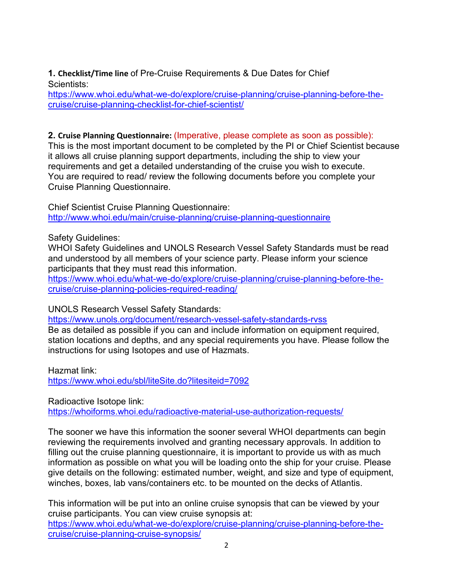1. Checklist/Time line of Pre-Cruise Requirements & Due Dates for Chief Scientists:

https://www.whoi.edu/what-we-do/explore/cruise-planning/cruise-planning-before-thecruise/cruise-planning-checklist-for-chief-scientist/

## 2. Cruise Planning Questionnaire: (Imperative, please complete as soon as possible):

This is the most important document to be completed by the PI or Chief Scientist because it allows all cruise planning support departments, including the ship to view your requirements and get a detailed understanding of the cruise you wish to execute. You are required to read/ review the following documents before you complete your Cruise Planning Questionnaire.

Chief Scientist Cruise Planning Questionnaire: http://www.whoi.edu/main/cruise-planning/cruise-planning-questionnaire

Safety Guidelines:

WHOI Safety Guidelines and UNOLS Research Vessel Safety Standards must be read and understood by all members of your science party. Please inform your science participants that they must read this information.

https://www.whoi.edu/what-we-do/explore/cruise-planning/cruise-planning-before-thecruise/cruise-planning-policies-required-reading/

UNOLS Research Vessel Safety Standards:

https://www.unols.org/document/research-vessel-safety-standards-rvss Be as detailed as possible if you can and include information on equipment required, station locations and depths, and any special requirements you have. Please follow the

Hazmat link: https://www.whoi.edu/sbl/liteSite.do?litesiteid=7092

instructions for using Isotopes and use of Hazmats.

Radioactive Isotope link:

https://whoiforms.whoi.edu/radioactive-material-use-authorization-requests/

The sooner we have this information the sooner several WHOI departments can begin reviewing the requirements involved and granting necessary approvals. In addition to filling out the cruise planning questionnaire, it is important to provide us with as much information as possible on what you will be loading onto the ship for your cruise. Please give details on the following: estimated number, weight, and size and type of equipment, winches, boxes, lab vans/containers etc. to be mounted on the decks of Atlantis.

This information will be put into an online cruise synopsis that can be viewed by your cruise participants. You can view cruise synopsis at: https://www.whoi.edu/what-we-do/explore/cruise-planning/cruise-planning-before-thecruise/cruise-planning-cruise-synopsis/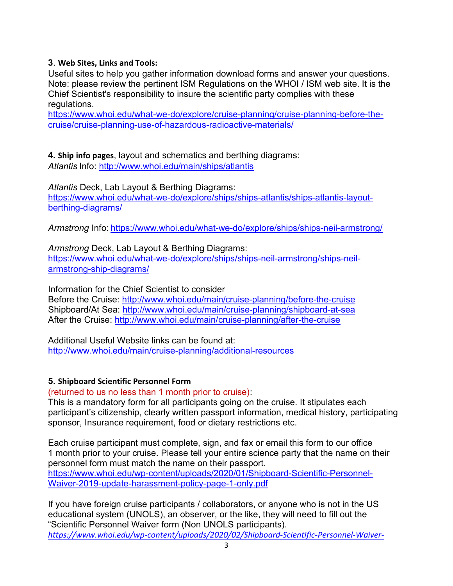## 3. Web Sites, Links and Tools:

Useful sites to help you gather information download forms and answer your questions. Note: please review the pertinent ISM Regulations on the WHOI / ISM web site. It is the Chief Scientist's responsibility to insure the scientific party complies with these regulations.

https://www.whoi.edu/what-we-do/explore/cruise-planning/cruise-planning-before-thecruise/cruise-planning-use-of-hazardous-radioactive-materials/

4. Ship info pages, layout and schematics and berthing diagrams: Atlantis Info: http://www.whoi.edu/main/ships/atlantis

Atlantis Deck, Lab Layout & Berthing Diagrams: https://www.whoi.edu/what-we-do/explore/ships/ships-atlantis/ships-atlantis-layoutberthing-diagrams/

Armstrong Info: https://www.whoi.edu/what-we-do/explore/ships/ships-neil-armstrong/

Armstrong Deck, Lab Layout & Berthing Diagrams: https://www.whoi.edu/what-we-do/explore/ships/ships-neil-armstrong/ships-neilarmstrong-ship-diagrams/

Information for the Chief Scientist to consider Before the Cruise: http://www.whoi.edu/main/cruise-planning/before-the-cruise Shipboard/At Sea: http://www.whoi.edu/main/cruise-planning/shipboard-at-sea After the Cruise: http://www.whoi.edu/main/cruise-planning/after-the-cruise

Additional Useful Website links can be found at: http://www.whoi.edu/main/cruise-planning/additional-resources

#### 5. Shipboard Scientific Personnel Form

(returned to us no less than 1 month prior to cruise):

This is a mandatory form for all participants going on the cruise. It stipulates each participant's citizenship, clearly written passport information, medical history, participating sponsor, Insurance requirement, food or dietary restrictions etc.

Each cruise participant must complete, sign, and fax or email this form to our office 1 month prior to your cruise. Please tell your entire science party that the name on their personnel form must match the name on their passport. https://www.whoi.edu/wp-content/uploads/2020/01/Shipboard-Scientific-Personnel-Waiver-2019-update-harassment-policy-page-1-only.pdf

If you have foreign cruise participants / collaborators, or anyone who is not in the US educational system (UNOLS), an observer, or the like, they will need to fill out the "Scientific Personnel Waiver form (Non UNOLS participants). https://www.whoi.edu/wp-content/uploads/2020/02/Shipboard-Scientific-Personnel-Waiver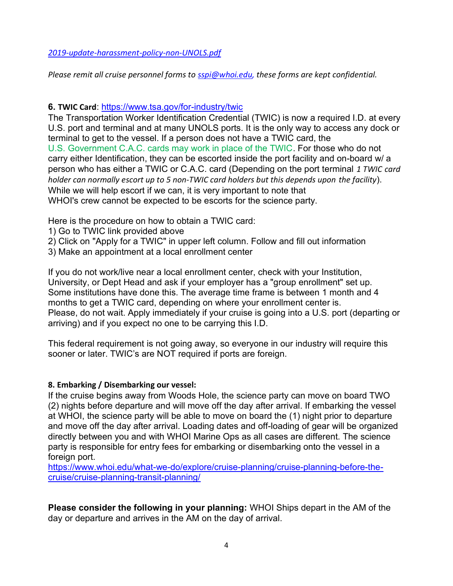2019-update-harassment-policy-non-UNOLS.pdf

Please remit all cruise personnel forms to sspi@whoi.edu, these forms are kept confidential.

### 6. TWIC Card: https://www.tsa.gov/for-industry/twic

The Transportation Worker Identification Credential (TWIC) is now a required I.D. at every U.S. port and terminal and at many UNOLS ports. It is the only way to access any dock or terminal to get to the vessel. If a person does not have a TWIC card, the U.S. Government C.A.C. cards may work in place of the TWIC. For those who do not carry either Identification, they can be escorted inside the port facility and on-board w/ a person who has either a TWIC or C.A.C. card (Depending on the port terminal 1 TWIC card holder can normally escort up to 5 non-TWIC card holders but this depends upon the facility). While we will help escort if we can, it is very important to note that WHOI's crew cannot be expected to be escorts for the science party.

Here is the procedure on how to obtain a TWIC card:

- 1) Go to TWIC link provided above
- 2) Click on "Apply for a TWIC" in upper left column. Follow and fill out information
- 3) Make an appointment at a local enrollment center

If you do not work/live near a local enrollment center, check with your Institution, University, or Dept Head and ask if your employer has a "group enrollment" set up. Some institutions have done this. The average time frame is between 1 month and 4 months to get a TWIC card, depending on where your enrollment center is. Please, do not wait. Apply immediately if your cruise is going into a U.S. port (departing or arriving) and if you expect no one to be carrying this I.D.

This federal requirement is not going away, so everyone in our industry will require this sooner or later. TWIC's are NOT required if ports are foreign.

#### 8. Embarking / Disembarking our vessel:

If the cruise begins away from Woods Hole, the science party can move on board TWO (2) nights before departure and will move off the day after arrival. If embarking the vessel at WHOI, the science party will be able to move on board the (1) night prior to departure and move off the day after arrival. Loading dates and off-loading of gear will be organized directly between you and with WHOI Marine Ops as all cases are different. The science party is responsible for entry fees for embarking or disembarking onto the vessel in a foreign port.

https://www.whoi.edu/what-we-do/explore/cruise-planning/cruise-planning-before-thecruise/cruise-planning-transit-planning/

Please consider the following in your planning: WHOI Ships depart in the AM of the day or departure and arrives in the AM on the day of arrival.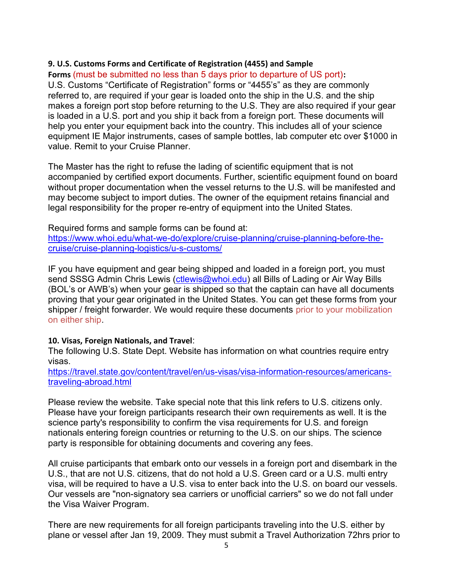#### 9. U.S. Customs Forms and Certificate of Registration (4455) and Sample

#### Forms (must be submitted no less than 5 days prior to departure of US port):

U.S. Customs "Certificate of Registration" forms or "4455's" as they are commonly referred to, are required if your gear is loaded onto the ship in the U.S. and the ship makes a foreign port stop before returning to the U.S. They are also required if your gear is loaded in a U.S. port and you ship it back from a foreign port. These documents will help you enter your equipment back into the country. This includes all of your science equipment IE Major instruments, cases of sample bottles, lab computer etc over \$1000 in value. Remit to your Cruise Planner.

The Master has the right to refuse the lading of scientific equipment that is not accompanied by certified export documents. Further, scientific equipment found on board without proper documentation when the vessel returns to the U.S. will be manifested and may become subject to import duties. The owner of the equipment retains financial and legal responsibility for the proper re-entry of equipment into the United States.

Required forms and sample forms can be found at:

https://www.whoi.edu/what-we-do/explore/cruise-planning/cruise-planning-before-thecruise/cruise-planning-logistics/u-s-customs/

IF you have equipment and gear being shipped and loaded in a foreign port, you must send SSSG Admin Chris Lewis (ctlewis@whoi.edu) all Bills of Lading or Air Way Bills (BOL's or AWB's) when your gear is shipped so that the captain can have all documents proving that your gear originated in the United States. You can get these forms from your shipper / freight forwarder. We would require these documents prior to your mobilization on either ship.

#### 10. Visas, Foreign Nationals, and Travel:

The following U.S. State Dept. Website has information on what countries require entry visas.

https://travel.state.gov/content/travel/en/us-visas/visa-information-resources/americanstraveling-abroad.html

Please review the website. Take special note that this link refers to U.S. citizens only. Please have your foreign participants research their own requirements as well. It is the science party's responsibility to confirm the visa requirements for U.S. and foreign nationals entering foreign countries or returning to the U.S. on our ships. The science party is responsible for obtaining documents and covering any fees.

All cruise participants that embark onto our vessels in a foreign port and disembark in the U.S., that are not U.S. citizens, that do not hold a U.S. Green card or a U.S. multi entry visa, will be required to have a U.S. visa to enter back into the U.S. on board our vessels. Our vessels are "non-signatory sea carriers or unofficial carriers" so we do not fall under the Visa Waiver Program.

There are new requirements for all foreign participants traveling into the U.S. either by plane or vessel after Jan 19, 2009. They must submit a Travel Authorization 72hrs prior to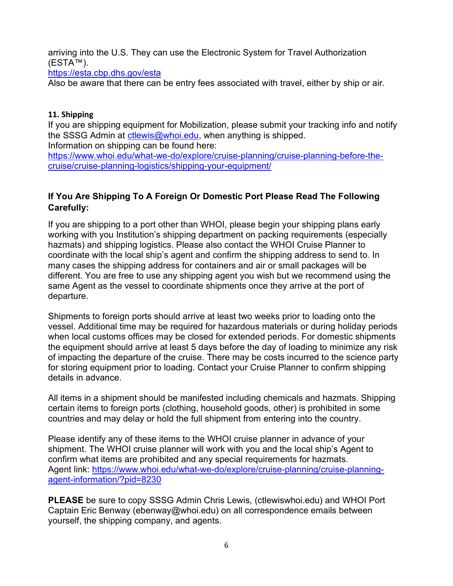arriving into the U.S. They can use the Electronic System for Travel Authorization (ESTA™).

https://esta.cbp.dhs.gov/esta

Also be aware that there can be entry fees associated with travel, either by ship or air.

## 11. Shipping

If you are shipping equipment for Mobilization, please submit your tracking info and notify the SSSG Admin at ctlewis@whoi.edu, when anything is shipped.

Information on shipping can be found here: https://www.whoi.edu/what-we-do/explore/cruise-planning/cruise-planning-before-thecruise/cruise-planning-logistics/shipping-your-equipment/

## If You Are Shipping To A Foreign Or Domestic Port Please Read The Following Carefully:

If you are shipping to a port other than WHOI, please begin your shipping plans early working with you Institution's shipping department on packing requirements (especially hazmats) and shipping logistics. Please also contact the WHOI Cruise Planner to coordinate with the local ship's agent and confirm the shipping address to send to. In many cases the shipping address for containers and air or small packages will be different. You are free to use any shipping agent you wish but we recommend using the same Agent as the vessel to coordinate shipments once they arrive at the port of departure.

Shipments to foreign ports should arrive at least two weeks prior to loading onto the vessel. Additional time may be required for hazardous materials or during holiday periods when local customs offices may be closed for extended periods. For domestic shipments the equipment should arrive at least 5 days before the day of loading to minimize any risk of impacting the departure of the cruise. There may be costs incurred to the science party for storing equipment prior to loading. Contact your Cruise Planner to confirm shipping details in advance.

All items in a shipment should be manifested including chemicals and hazmats. Shipping certain items to foreign ports (clothing, household goods, other) is prohibited in some countries and may delay or hold the full shipment from entering into the country.

Please identify any of these items to the WHOI cruise planner in advance of your shipment. The WHOI cruise planner will work with you and the local ship's Agent to confirm what items are prohibited and any special requirements for hazmats. Agent link: https://www.whoi.edu/what-we-do/explore/cruise-planning/cruise-planningagent-information/?pid=8230

PLEASE be sure to copy SSSG Admin Chris Lewis, (ctlewiswhoi.edu) and WHOI Port Captain Eric Benway (ebenway@whoi.edu) on all correspondence emails between yourself, the shipping company, and agents.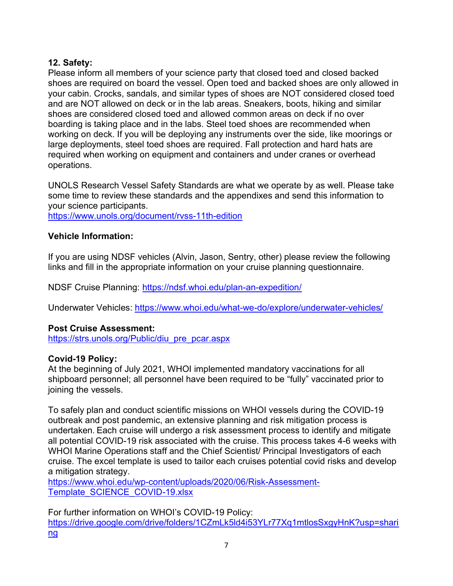## 12. Safety:

Please inform all members of your science party that closed toed and closed backed shoes are required on board the vessel. Open toed and backed shoes are only allowed in your cabin. Crocks, sandals, and similar types of shoes are NOT considered closed toed and are NOT allowed on deck or in the lab areas. Sneakers, boots, hiking and similar shoes are considered closed toed and allowed common areas on deck if no over boarding is taking place and in the labs. Steel toed shoes are recommended when working on deck. If you will be deploying any instruments over the side, like moorings or large deployments, steel toed shoes are required. Fall protection and hard hats are required when working on equipment and containers and under cranes or overhead operations.

UNOLS Research Vessel Safety Standards are what we operate by as well. Please take some time to review these standards and the appendixes and send this information to your science participants.

https://www.unols.org/document/rvss-11th-edition

## Vehicle Information:

If you are using NDSF vehicles (Alvin, Jason, Sentry, other) please review the following links and fill in the appropriate information on your cruise planning questionnaire.

NDSF Cruise Planning: https://ndsf.whoi.edu/plan-an-expedition/

Underwater Vehicles: https://www.whoi.edu/what-we-do/explore/underwater-vehicles/

## Post Cruise Assessment:

https://strs.unols.org/Public/diu\_pre\_pcar.aspx

## Covid-19 Policy:

At the beginning of July 2021, WHOI implemented mandatory vaccinations for all shipboard personnel; all personnel have been required to be "fully" vaccinated prior to joining the vessels.

To safely plan and conduct scientific missions on WHOI vessels during the COVID-19 outbreak and post pandemic, an extensive planning and risk mitigation process is undertaken. Each cruise will undergo a risk assessment process to identify and mitigate all potential COVID-19 risk associated with the cruise. This process takes 4-6 weeks with WHOI Marine Operations staff and the Chief Scientist/ Principal Investigators of each cruise. The excel template is used to tailor each cruises potential covid risks and develop a mitigation strategy.

https://www.whoi.edu/wp-content/uploads/2020/06/Risk-Assessment-Template\_SCIENCE\_COVID-19.xlsx

For further information on WHOI's COVID-19 Policy: https://drive.google.com/drive/folders/1CZmLk5ld4i53YLr77Xq1mtlosSxgyHnK?usp=shari ng